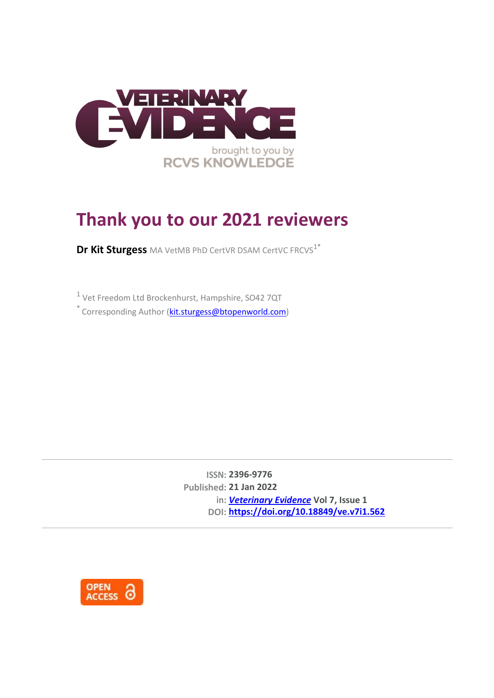

## **Thank you to our 2021 reviewers**

**Dr Kit Sturgess** MA VetMB PhD CertVR DSAM CertVC FRCVS<sup>1\*</sup>

1 Vet Freedom Ltd Brockenhurst, Hampshire, SO42 7QT

\* Corresponding Author (*kit.sturgess@btopenworld.com*)

**ISSN: 2396-9776 Published: 21 Jan 2022 in:** *[Veterinary Evidence](https://veterinaryevidence.org/index.php/ve)* **Vol 7, Issue 1 DOI: <https://doi.org/10.18849/ve.v7i1.562>**

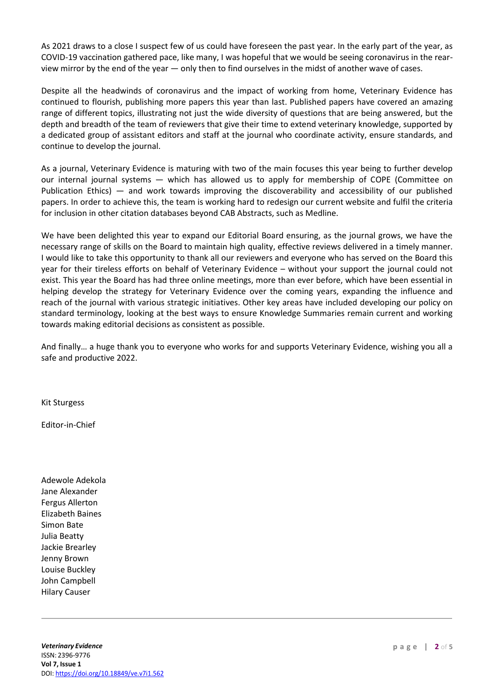As 2021 draws to a close I suspect few of us could have foreseen the past year. In the early part of the year, as COVID-19 vaccination gathered pace, like many, I was hopeful that we would be seeing coronavirus in the rearview mirror by the end of the year ― only then to find ourselves in the midst of another wave of cases.

Despite all the headwinds of coronavirus and the impact of working from home, Veterinary Evidence has continued to flourish, publishing more papers this year than last. Published papers have covered an amazing range of different topics, illustrating not just the wide diversity of questions that are being answered, but the depth and breadth of the team of reviewers that give their time to extend veterinary knowledge, supported by a dedicated group of assistant editors and staff at the journal who coordinate activity, ensure standards, and continue to develop the journal.

As a journal, Veterinary Evidence is maturing with two of the main focuses this year being to further develop our internal journal systems ― which has allowed us to apply for membership of COPE (Committee on Publication Ethics) ― and work towards improving the discoverability and accessibility of our published papers. In order to achieve this, the team is working hard to redesign our current website and fulfil the criteria for inclusion in other citation databases beyond CAB Abstracts, such as Medline.

We have been delighted this year to expand our Editorial Board ensuring, as the journal grows, we have the necessary range of skills on the Board to maintain high quality, effective reviews delivered in a timely manner. I would like to take this opportunity to thank all our reviewers and everyone who has served on the Board this year for their tireless efforts on behalf of Veterinary Evidence – without your support the journal could not exist. This year the Board has had three online meetings, more than ever before, which have been essential in helping develop the strategy for Veterinary Evidence over the coming years, expanding the influence and reach of the journal with various strategic initiatives. Other key areas have included developing our policy on standard terminology, looking at the best ways to ensure Knowledge Summaries remain current and working towards making editorial decisions as consistent as possible.

And finally… a huge thank you to everyone who works for and supports Veterinary Evidence, wishing you all a safe and productive 2022.

Kit Sturgess

Editor-in-Chief

Adewole Adekola Jane Alexander Fergus Allerton Elizabeth Baines Simon Bate Julia Beatty Jackie Brearley Jenny Brown Louise Buckley John Campbell Hilary Causer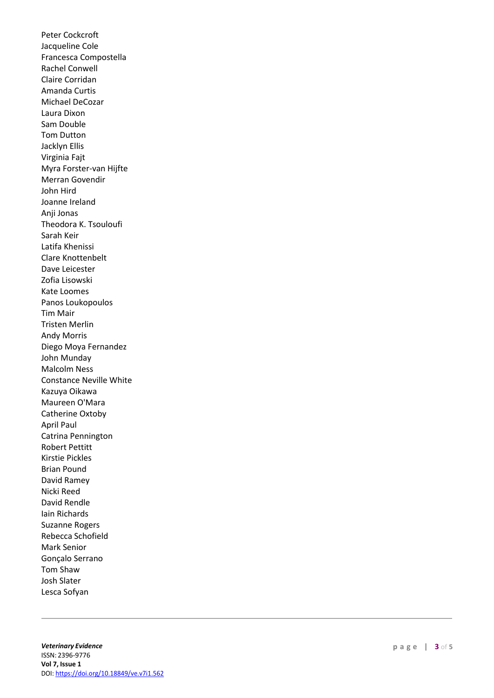Peter Cockcroft Jacqueline Cole Francesca Compostella Rachel Conwell Claire Corridan Amanda Curtis Michael DeCozar Laura Dixon Sam Double Tom Dutton Jacklyn Ellis Virginia Fajt Myra Forster -van Hijfte Merran Govendir John Hird Joanne Ireland Anji Jonas Theodora K. Tsouloufi Sarah Keir Latifa Khenissi Clare Knottenbelt Dave Leicester Zofia Lisowski Kate Loomes Panos Loukopoulos Tim Mair Tristen Merlin Andy Morris Diego Moya Fernandez John Munday Malcolm Ness Constance Neville White Kazuya Oikawa Maureen O'Mara Catherine Oxtoby April Paul Catrina Pennington Robert Pettitt Kirstie Pickles Brian Pound David Ramey Nicki Reed David Rendle Iain Richards Suzanne Rogers Rebecca Schofield Mark Senior Gonçalo Serrano Tom Shaw Josh Slater Lesca Sofyan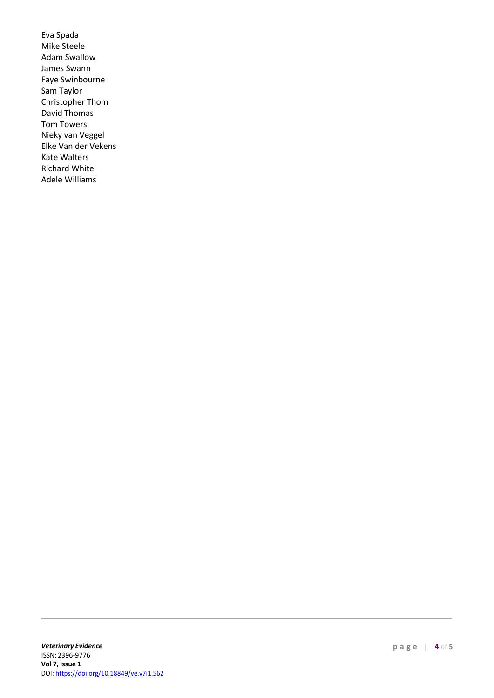Eva Spada Mike Steele Adam Swallow James Swann Faye Swinbourne Sam Taylor Christopher Thom David Thomas Tom Towers Nieky van Veggel Elke Van der Vekens Kate Walters Richard White Adele Williams